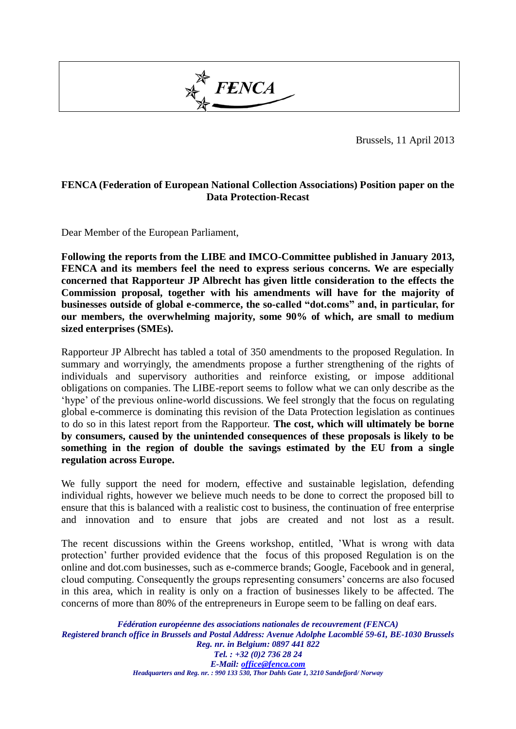

Brussels, 11 April 2013

## **FENCA (Federation of European National Collection Associations) Position paper on the Data Protection-Recast**

Dear Member of the European Parliament,

**Following the reports from the LIBE and IMCO-Committee published in January 2013, FENCA and its members feel the need to express serious concerns. We are especially concerned that Rapporteur JP Albrecht has given little consideration to the effects the Commission proposal, together with his amendments will have for the majority of businesses outside of global e-commerce, the so-called "dot.coms" and, in particular, for our members, the overwhelming majority, some 90% of which, are small to medium sized enterprises (SMEs).** 

Rapporteur JP Albrecht has tabled a total of 350 amendments to the proposed Regulation. In summary and worryingly, the amendments propose a further strengthening of the rights of individuals and supervisory authorities and reinforce existing, or impose additional obligations on companies. The LIBE-report seems to follow what we can only describe as the 'hype' of the previous online-world discussions. We feel strongly that the focus on regulating global e-commerce is dominating this revision of the Data Protection legislation as continues to do so in this latest report from the Rapporteur. **The cost, which will ultimately be borne by consumers, caused by the unintended consequences of these proposals is likely to be something in the region of double the savings estimated by the EU from a single regulation across Europe.**

We fully support the need for modern, effective and sustainable legislation, defending individual rights, however we believe much needs to be done to correct the proposed bill to ensure that this is balanced with a realistic cost to business, the continuation of free enterprise and innovation and to ensure that jobs are created and not lost as a result.

The recent discussions within the Greens workshop, entitled, 'What is wrong with data protection' further provided evidence that the focus of this proposed Regulation is on the online and dot.com businesses, such as e-commerce brands; Google, Facebook and in general, cloud computing. Consequently the groups representing consumers' concerns are also focused in this area, which in reality is only on a fraction of businesses likely to be affected. The concerns of more than 80% of the entrepreneurs in Europe seem to be falling on deaf ears.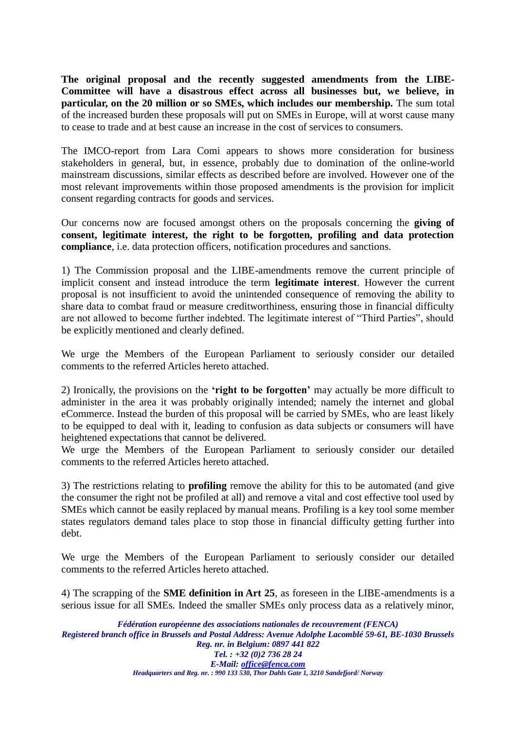**The original proposal and the recently suggested amendments from the LIBE-Committee will have a disastrous effect across all businesses but, we believe, in particular, on the 20 million or so SMEs, which includes our membership.** The sum total of the increased burden these proposals will put on SMEs in Europe, will at worst cause many to cease to trade and at best cause an increase in the cost of services to consumers.

The IMCO-report from Lara Comi appears to shows more consideration for business stakeholders in general, but, in essence, probably due to domination of the online-world mainstream discussions, similar effects as described before are involved. However one of the most relevant improvements within those proposed amendments is the provision for implicit consent regarding contracts for goods and services.

Our concerns now are focused amongst others on the proposals concerning the **giving of consent, legitimate interest, the right to be forgotten, profiling and data protection compliance**, i.e. data protection officers, notification procedures and sanctions.

1) The Commission proposal and the LIBE-amendments remove the current principle of implicit consent and instead introduce the term **legitimate interest**. However the current proposal is not insufficient to avoid the unintended consequence of removing the ability to share data to combat fraud or measure creditworthiness, ensuring those in financial difficulty are not allowed to become further indebted. The legitimate interest of "Third Parties", should be explicitly mentioned and clearly defined.

We urge the Members of the European Parliament to seriously consider our detailed comments to the referred Articles hereto attached.

2) Ironically, the provisions on the **'right to be forgotten'** may actually be more difficult to administer in the area it was probably originally intended; namely the internet and global eCommerce. Instead the burden of this proposal will be carried by SMEs, who are least likely to be equipped to deal with it, leading to confusion as data subjects or consumers will have heightened expectations that cannot be delivered.

We urge the Members of the European Parliament to seriously consider our detailed comments to the referred Articles hereto attached.

3) The restrictions relating to **profiling** remove the ability for this to be automated (and give the consumer the right not be profiled at all) and remove a vital and cost effective tool used by SMEs which cannot be easily replaced by manual means. Profiling is a key tool some member states regulators demand tales place to stop those in financial difficulty getting further into debt.

We urge the Members of the European Parliament to seriously consider our detailed comments to the referred Articles hereto attached.

4) The scrapping of the **SME definition in Art 25**, as foreseen in the LIBE-amendments is a serious issue for all SMEs. Indeed the smaller SMEs only process data as a relatively minor,

*Fédération européenne des associations nationales de recouvrement (FENCA) Registered branch office in Brussels and Postal Address: Avenue Adolphe Lacomblé 59-61, BE-1030 Brussels Reg. nr. in Belgium: 0897 441 822 Tel. : +32 (0)2 736 28 24 E-Mail: office@fenca.com*

*Headquarters and Reg. nr. : 990 133 530, Thor Dahls Gate 1, 3210 Sandefjord/ Norway*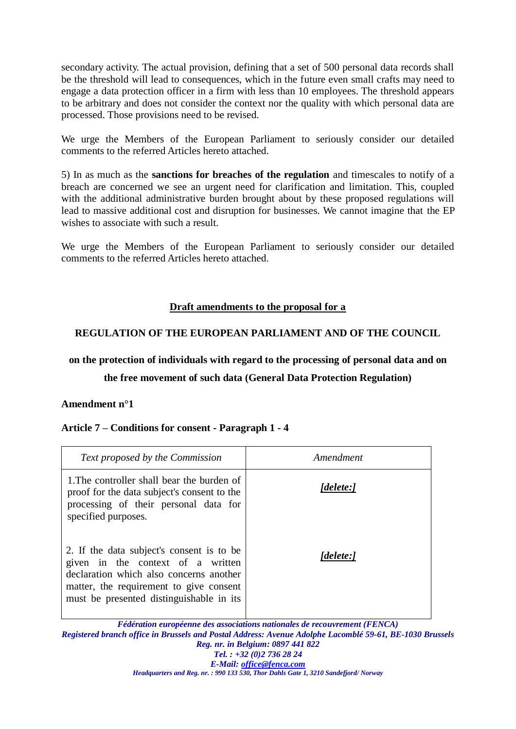secondary activity. The actual provision, defining that a set of 500 personal data records shall be the threshold will lead to consequences, which in the future even small crafts may need to engage a data protection officer in a firm with less than 10 employees. The threshold appears to be arbitrary and does not consider the context nor the quality with which personal data are processed. Those provisions need to be revised.

We urge the Members of the European Parliament to seriously consider our detailed comments to the referred Articles hereto attached.

5) In as much as the **sanctions for breaches of the regulation** and timescales to notify of a breach are concerned we see an urgent need for clarification and limitation. This, coupled with the additional administrative burden brought about by these proposed regulations will lead to massive additional cost and disruption for businesses. We cannot imagine that the EP wishes to associate with such a result.

We urge the Members of the European Parliament to seriously consider our detailed comments to the referred Articles hereto attached.

## **Draft amendments to the proposal for a**

# **REGULATION OF THE EUROPEAN PARLIAMENT AND OF THE COUNCIL**

# **on the protection of individuals with regard to the processing of personal data and on**

## **the free movement of such data (General Data Protection Regulation)**

### **Amendment n°1**

## **Article 7 – Conditions for consent - Paragraph 1 - 4**

| Text proposed by the Commission                                                                                                                                                                                  | Amendment                                                                                                                  |
|------------------------------------------------------------------------------------------------------------------------------------------------------------------------------------------------------------------|----------------------------------------------------------------------------------------------------------------------------|
| 1. The controller shall bear the burden of<br>proof for the data subject's consent to the<br>processing of their personal data for<br>specified purposes.                                                        | [delete:]                                                                                                                  |
| 2. If the data subject's consent is to be<br>given in the context of a written<br>declaration which also concerns another<br>matter, the requirement to give consent<br>must be presented distinguishable in its | [delete:]<br>$E/JL$ and an array $L_{\rm max}$ of an array of algebra in algebra $J_{\rm max}$ are a companion of $/EDMCA$ |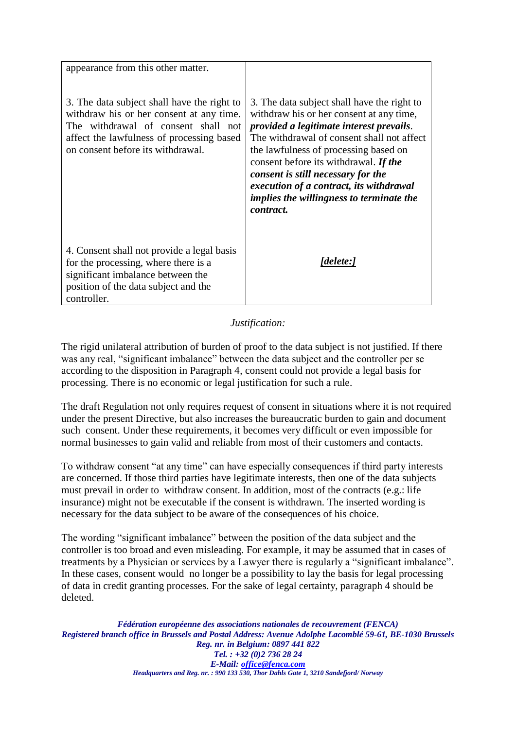| appearance from this other matter.                                                                                                                                                                               |                                                                                                                                                                                                                                                                                                                                                                                                                             |
|------------------------------------------------------------------------------------------------------------------------------------------------------------------------------------------------------------------|-----------------------------------------------------------------------------------------------------------------------------------------------------------------------------------------------------------------------------------------------------------------------------------------------------------------------------------------------------------------------------------------------------------------------------|
| 3. The data subject shall have the right to<br>withdraw his or her consent at any time.<br>The withdrawal of consent shall not<br>affect the lawfulness of processing based<br>on consent before its withdrawal. | 3. The data subject shall have the right to<br>withdraw his or her consent at any time,<br>provided a legitimate interest prevails.<br>The withdrawal of consent shall not affect<br>the lawfulness of processing based on<br>consent before its withdrawal. If the<br>consent is still necessary for the<br>execution of a contract, its withdrawal<br><i>implies the willingness to terminate the</i><br><i>contract.</i> |
| 4. Consent shall not provide a legal basis<br>for the processing, where there is a<br>significant imbalance between the<br>position of the data subject and the<br>controller.                                   | [delete:]                                                                                                                                                                                                                                                                                                                                                                                                                   |

*Justification:*

The rigid unilateral attribution of burden of proof to the data subject is not justified. If there was any real, "significant imbalance" between the data subject and the controller per se according to the disposition in Paragraph 4, consent could not provide a legal basis for processing. There is no economic or legal justification for such a rule.

The draft Regulation not only requires request of consent in situations where it is not required under the present Directive, but also increases the bureaucratic burden to gain and document such consent. Under these requirements, it becomes very difficult or even impossible for normal businesses to gain valid and reliable from most of their customers and contacts.

To withdraw consent "at any time" can have especially consequences if third party interests are concerned. If those third parties have legitimate interests, then one of the data subjects must prevail in order to withdraw consent. In addition, most of the contracts (e.g.: life insurance) might not be executable if the consent is withdrawn. The inserted wording is necessary for the data subject to be aware of the consequences of his choice.

The wording "significant imbalance" between the position of the data subject and the controller is too broad and even misleading. For example, it may be assumed that in cases of treatments by a Physician or services by a Lawyer there is regularly a "significant imbalance". In these cases, consent would no longer be a possibility to lay the basis for legal processing of data in credit granting processes. For the sake of legal certainty, paragraph 4 should be deleted.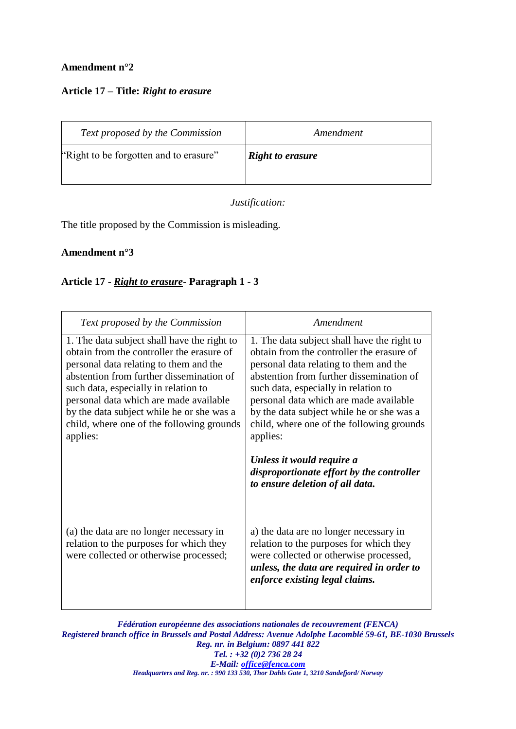# **Amendment n°2**

## **Article 17 – Title:** *Right to erasure*

| Text proposed by the Commission        | Amendment               |
|----------------------------------------|-------------------------|
| "Right to be forgotten and to erasure" | <b>Right to erasure</b> |

*Justification:*

The title proposed by the Commission is misleading.

### **Amendment n°3**

## **Article 17 -** *Right to erasure***- Paragraph 1 - 3**

| Text proposed by the Commission                                                                                                                                                                                                                                                                                                                                        | Amendment                                                                                                                                                                                                                                                                                                                                                              |
|------------------------------------------------------------------------------------------------------------------------------------------------------------------------------------------------------------------------------------------------------------------------------------------------------------------------------------------------------------------------|------------------------------------------------------------------------------------------------------------------------------------------------------------------------------------------------------------------------------------------------------------------------------------------------------------------------------------------------------------------------|
| 1. The data subject shall have the right to<br>obtain from the controller the erasure of<br>personal data relating to them and the<br>abstention from further dissemination of<br>such data, especially in relation to<br>personal data which are made available<br>by the data subject while he or she was a<br>child, where one of the following grounds<br>applies: | 1. The data subject shall have the right to<br>obtain from the controller the erasure of<br>personal data relating to them and the<br>abstention from further dissemination of<br>such data, especially in relation to<br>personal data which are made available<br>by the data subject while he or she was a<br>child, where one of the following grounds<br>applies: |
| (a) the data are no longer necessary in<br>relation to the purposes for which they                                                                                                                                                                                                                                                                                     | Unless it would require a<br>disproportionate effort by the controller<br>to ensure deletion of all data.<br>a) the data are no longer necessary in<br>relation to the purposes for which they                                                                                                                                                                         |
| were collected or otherwise processed;                                                                                                                                                                                                                                                                                                                                 | were collected or otherwise processed,<br>unless, the data are required in order to<br>enforce existing legal claims.                                                                                                                                                                                                                                                  |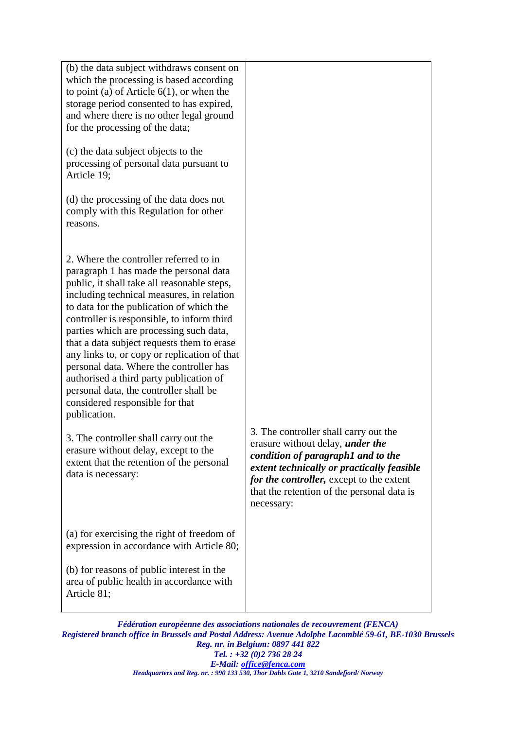| (b) the data subject withdraws consent on<br>which the processing is based according<br>to point (a) of Article $6(1)$ , or when the<br>storage period consented to has expired,<br>and where there is no other legal ground<br>for the processing of the data;                                                                                                                                                                                                                                                                                                                                                                                                                                                                                        |                                                                                                                                                                                                                                                                |
|--------------------------------------------------------------------------------------------------------------------------------------------------------------------------------------------------------------------------------------------------------------------------------------------------------------------------------------------------------------------------------------------------------------------------------------------------------------------------------------------------------------------------------------------------------------------------------------------------------------------------------------------------------------------------------------------------------------------------------------------------------|----------------------------------------------------------------------------------------------------------------------------------------------------------------------------------------------------------------------------------------------------------------|
| (c) the data subject objects to the<br>processing of personal data pursuant to<br>Article 19;                                                                                                                                                                                                                                                                                                                                                                                                                                                                                                                                                                                                                                                          |                                                                                                                                                                                                                                                                |
| (d) the processing of the data does not<br>comply with this Regulation for other<br>reasons.                                                                                                                                                                                                                                                                                                                                                                                                                                                                                                                                                                                                                                                           |                                                                                                                                                                                                                                                                |
| 2. Where the controller referred to in<br>paragraph 1 has made the personal data<br>public, it shall take all reasonable steps,<br>including technical measures, in relation<br>to data for the publication of which the<br>controller is responsible, to inform third<br>parties which are processing such data,<br>that a data subject requests them to erase<br>any links to, or copy or replication of that<br>personal data. Where the controller has<br>authorised a third party publication of<br>personal data, the controller shall be<br>considered responsible for that<br>publication.<br>3. The controller shall carry out the<br>erasure without delay, except to the<br>extent that the retention of the personal<br>data is necessary: | 3. The controller shall carry out the<br>erasure without delay, <i>under the</i><br>condition of paragraph1 and to the<br>extent technically or practically feasible<br>for the controller, except to the extent<br>that the retention of the personal data is |
| (a) for exercising the right of freedom of                                                                                                                                                                                                                                                                                                                                                                                                                                                                                                                                                                                                                                                                                                             | necessary:                                                                                                                                                                                                                                                     |
| expression in accordance with Article 80;                                                                                                                                                                                                                                                                                                                                                                                                                                                                                                                                                                                                                                                                                                              |                                                                                                                                                                                                                                                                |
| (b) for reasons of public interest in the<br>area of public health in accordance with<br>Article 81;                                                                                                                                                                                                                                                                                                                                                                                                                                                                                                                                                                                                                                                   |                                                                                                                                                                                                                                                                |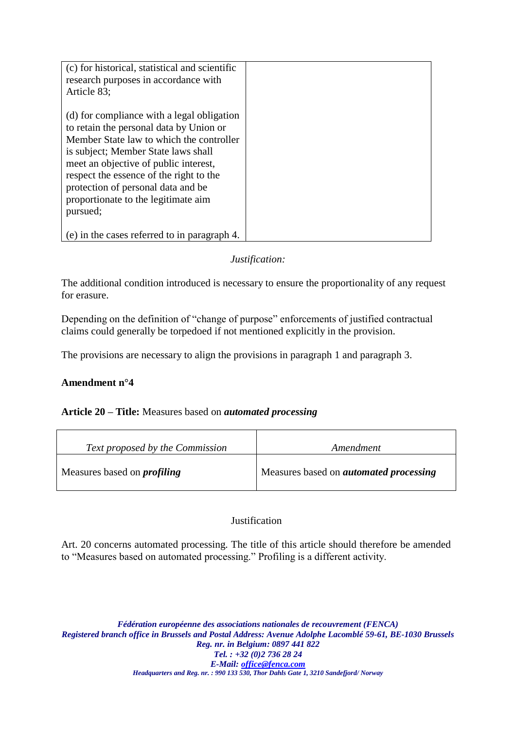| (c) for historical, statistical and scientific<br>research purposes in accordance with<br>Article 83;                                                                                                                                                                                                                                                 |  |
|-------------------------------------------------------------------------------------------------------------------------------------------------------------------------------------------------------------------------------------------------------------------------------------------------------------------------------------------------------|--|
| (d) for compliance with a legal obligation<br>to retain the personal data by Union or<br>Member State law to which the controller<br>is subject; Member State laws shall<br>meet an objective of public interest,<br>respect the essence of the right to the<br>protection of personal data and be<br>proportionate to the legitimate aim<br>pursued; |  |
| (e) in the cases referred to in paragraph 4.                                                                                                                                                                                                                                                                                                          |  |

## *Justification:*

The additional condition introduced is necessary to ensure the proportionality of any request for erasure.

Depending on the definition of "change of purpose" enforcements of justified contractual claims could generally be torpedoed if not mentioned explicitly in the provision.

The provisions are necessary to align the provisions in paragraph 1 and paragraph 3.

## **Amendment n°4**

### **Article 20 – Title:** Measures based on *automated processing*

| Text proposed by the Commission    | Amendment                                     |
|------------------------------------|-----------------------------------------------|
| Measures based on <i>profiling</i> | Measures based on <i>automated processing</i> |

### **Justification**

Art. 20 concerns automated processing. The title of this article should therefore be amended to "Measures based on automated processing." Profiling is a different activity.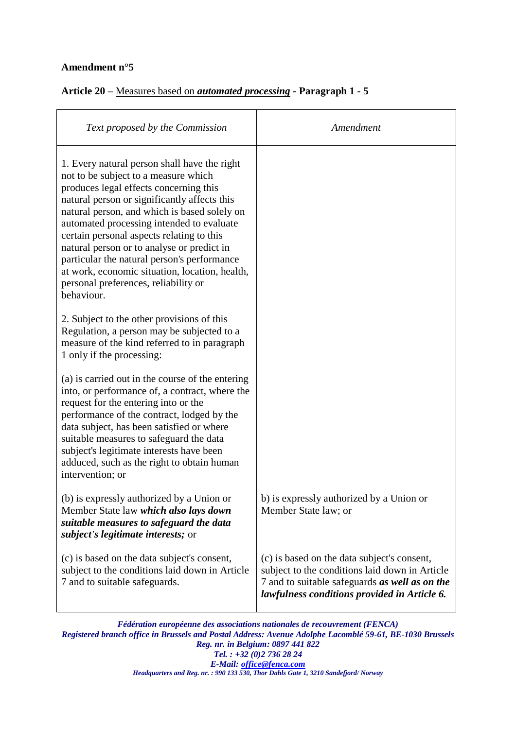## **Amendment n°5**

## **Article 20 –** Measures based on *automated processing* **- Paragraph 1 - 5**

| Text proposed by the Commission                                                                                                                                                                                                                                                                                                                                                                                                                                                                                               | Amendment                                                                                                                                                                                       |
|-------------------------------------------------------------------------------------------------------------------------------------------------------------------------------------------------------------------------------------------------------------------------------------------------------------------------------------------------------------------------------------------------------------------------------------------------------------------------------------------------------------------------------|-------------------------------------------------------------------------------------------------------------------------------------------------------------------------------------------------|
| 1. Every natural person shall have the right<br>not to be subject to a measure which<br>produces legal effects concerning this<br>natural person or significantly affects this<br>natural person, and which is based solely on<br>automated processing intended to evaluate<br>certain personal aspects relating to this<br>natural person or to analyse or predict in<br>particular the natural person's performance<br>at work, economic situation, location, health,<br>personal preferences, reliability or<br>behaviour. |                                                                                                                                                                                                 |
| 2. Subject to the other provisions of this<br>Regulation, a person may be subjected to a<br>measure of the kind referred to in paragraph<br>1 only if the processing:                                                                                                                                                                                                                                                                                                                                                         |                                                                                                                                                                                                 |
| (a) is carried out in the course of the entering<br>into, or performance of, a contract, where the<br>request for the entering into or the<br>performance of the contract, lodged by the<br>data subject, has been satisfied or where<br>suitable measures to safeguard the data<br>subject's legitimate interests have been<br>adduced, such as the right to obtain human<br>intervention; or                                                                                                                                |                                                                                                                                                                                                 |
| (b) is expressly authorized by a Union or<br>Member State law which also lays down<br>suitable measures to safeguard the data<br>subject's legitimate interests; or                                                                                                                                                                                                                                                                                                                                                           | b) is expressly authorized by a Union or<br>Member State law; or                                                                                                                                |
| (c) is based on the data subject's consent,<br>subject to the conditions laid down in Article<br>7 and to suitable safeguards.                                                                                                                                                                                                                                                                                                                                                                                                | (c) is based on the data subject's consent,<br>subject to the conditions laid down in Article<br>7 and to suitable safeguards as well as on the<br>lawfulness conditions provided in Article 6. |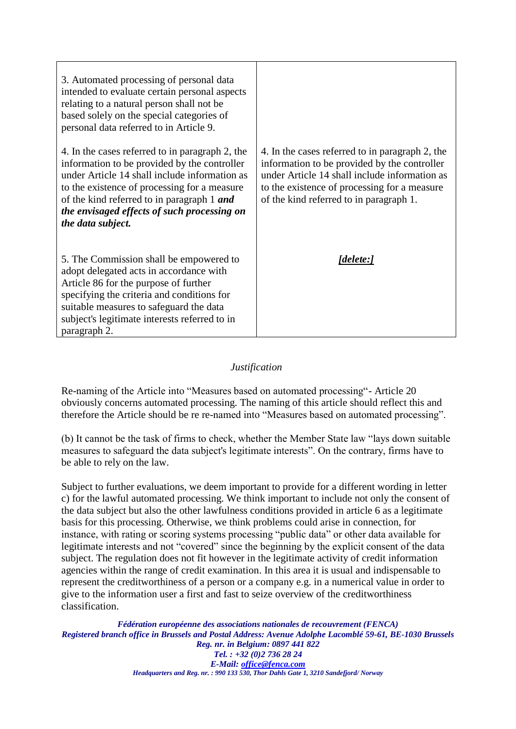| 3. Automated processing of personal data<br>intended to evaluate certain personal aspects<br>relating to a natural person shall not be<br>based solely on the special categories of                                                                                                                                |                                                                                                                                                                                                                                             |
|--------------------------------------------------------------------------------------------------------------------------------------------------------------------------------------------------------------------------------------------------------------------------------------------------------------------|---------------------------------------------------------------------------------------------------------------------------------------------------------------------------------------------------------------------------------------------|
| personal data referred to in Article 9.                                                                                                                                                                                                                                                                            |                                                                                                                                                                                                                                             |
| 4. In the cases referred to in paragraph 2, the<br>information to be provided by the controller<br>under Article 14 shall include information as<br>to the existence of processing for a measure<br>of the kind referred to in paragraph 1 and<br>the envisaged effects of such processing on<br>the data subject. | 4. In the cases referred to in paragraph 2, the<br>information to be provided by the controller<br>under Article 14 shall include information as<br>to the existence of processing for a measure<br>of the kind referred to in paragraph 1. |
| 5. The Commission shall be empowered to<br>adopt delegated acts in accordance with<br>Article 86 for the purpose of further<br>specifying the criteria and conditions for<br>suitable measures to safeguard the data<br>subject's legitimate interests referred to in<br>paragraph 2.                              | [delete:]                                                                                                                                                                                                                                   |

### *Justification*

Re-naming of the Article into "Measures based on automated processing"- Article 20 obviously concerns automated processing. The naming of this article should reflect this and therefore the Article should be re re-named into "Measures based on automated processing".

(b) It cannot be the task of firms to check, whether the Member State law "lays down suitable measures to safeguard the data subject's legitimate interests". On the contrary, firms have to be able to rely on the law.

Subject to further evaluations, we deem important to provide for a different wording in letter c) for the lawful automated processing. We think important to include not only the consent of the data subject but also the other lawfulness conditions provided in article 6 as a legitimate basis for this processing. Otherwise, we think problems could arise in connection, for instance, with rating or scoring systems processing "public data" or other data available for legitimate interests and not "covered" since the beginning by the explicit consent of the data subject. The regulation does not fit however in the legitimate activity of credit information agencies within the range of credit examination. In this area it is usual and indispensable to represent the creditworthiness of a person or a company e.g. in a numerical value in order to give to the information user a first and fast to seize overview of the creditworthiness classification.